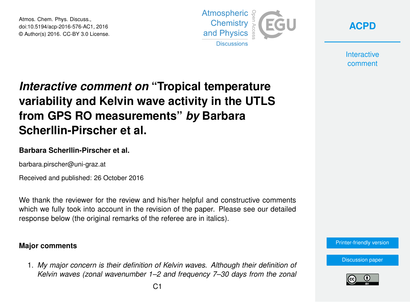Atmos. Chem. Phys. Discuss., doi:10.5194/acp-2016-576-AC1, 2016 © Author(s) 2016. CC-BY 3.0 License.



**[ACPD](http://www.atmos-chem-phys-discuss.net/)**

**Interactive** comment

# *Interactive comment on* **"Tropical temperature variability and Kelvin wave activity in the UTLS from GPS RO measurements"** *by* **Barbara Scherllin-Pirscher et al.**

#### **Barbara Scherllin-Pirscher et al.**

barbara.pirscher@uni-graz.at

Received and published: 26 October 2016

We thank the reviewer for the review and his/her helpful and constructive comments which we fully took into account in the revision of the paper. Please see our detailed response below (the original remarks of the referee are in italics).

#### **Major comments**

1. *My major concern is their definition of Kelvin waves. Although their definition of Kelvin waves (zonal wavenumber 1–2 and frequency 7–30 days from the zonal*



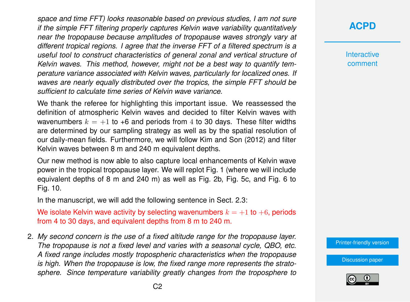*space and time FFT) looks reasonable based on previous studies, I am not sure if the simple FFT filtering properly captures Kelvin wave variability quantitatively near the tropopause because amplitudes of tropopause waves strongly vary at different tropical regions. I agree that the inverse FFT of a filtered spectrum is a useful tool to construct characteristics of general zonal and vertical structure of Kelvin waves. This method, however, might not be a best way to quantify temperature variance associated with Kelvin waves, particularly for localized ones. If waves are nearly equally distributed over the tropics, the simple FFT should be sufficient to calculate time series of Kelvin wave variance.*

We thank the referee for highlighting this important issue. We reassessed the definition of atmospheric Kelvin waves and decided to filter Kelvin waves with wavenumbers  $k = +1$  to +6 and periods from 4 to 30 days. These filter widths are determined by our sampling strategy as well as by the spatial resolution of our daily-mean fields. Furthermore, we will follow Kim and Son (2012) and filter Kelvin waves between 8 m and 240 m equivalent depths.

Our new method is now able to also capture local enhancements of Kelvin wave power in the tropical tropopause layer. We will replot Fig. 1 (where we will include equivalent depths of 8 m and 240 m) as well as Fig. 2b, Fig. 5c, and Fig. 6 to Fig. 10.

In the manuscript, we will add the following sentence in Sect. 2.3:

We isolate Kelvin wave activity by selecting wavenumbers  $k = +1$  to  $+6$ , periods from 4 to 30 days, and equivalent depths from 8 m to 240 m.

2. *My second concern is the use of a fixed altitude range for the tropopause layer. The tropopause is not a fixed level and varies with a seasonal cycle, QBO, etc. A fixed range includes mostly tropospheric characteristics when the tropopause is high. When the tropopause is low, the fixed range more represents the stratosphere. Since temperature variability greatly changes from the troposphere to*

## **[ACPD](http://www.atmos-chem-phys-discuss.net/)**

**Interactive** comment

[Printer-friendly version](http://www.atmos-chem-phys-discuss.net/acp-2016-576/acp-2016-576-AC1-print.pdf)

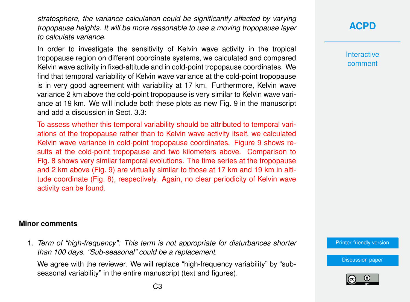*stratosphere, the variance calculation could be significantly affected by varying tropopause heights. It will be more reasonable to use a moving tropopause layer to calculate variance.*

In order to investigate the sensitivity of Kelvin wave activity in the tropical tropopause region on different coordinate systems, we calculated and compared Kelvin wave activity in fixed-altitude and in cold-point tropopause coordinates. We find that temporal variability of Kelvin wave variance at the cold-point tropopause is in very good agreement with variability at 17 km. Furthermore, Kelvin wave variance 2 km above the cold-point tropopause is very similar to Kelvin wave variance at 19 km. We will include both these plots as new Fig. 9 in the manuscript and add a discussion in Sect. 3.3:

To assess whether this temporal variability should be attributed to temporal variations of the tropopause rather than to Kelvin wave activity itself, we calculated Kelvin wave variance in cold-point tropopause coordinates. Figure 9 shows results at the cold-point tropopause and two kilometers above. Comparison to Fig. 8 shows very similar temporal evolutions. The time series at the tropopause and 2 km above (Fig. 9) are virtually similar to those at 17 km and 19 km in altitude coordinate (Fig. 8), respectively. Again, no clear periodicity of Kelvin wave activity can be found.

#### **Minor comments**

1. *Term of "high-frequency": This term is not appropriate for disturbances shorter than 100 days. "Sub-seasonal" could be a replacement.*

We agree with the reviewer. We will replace "high-frequency variability" by "subseasonal variability" in the entire manuscript (text and figures).

### **[ACPD](http://www.atmos-chem-phys-discuss.net/)**

**Interactive** comment

[Printer-friendly version](http://www.atmos-chem-phys-discuss.net/acp-2016-576/acp-2016-576-AC1-print.pdf)

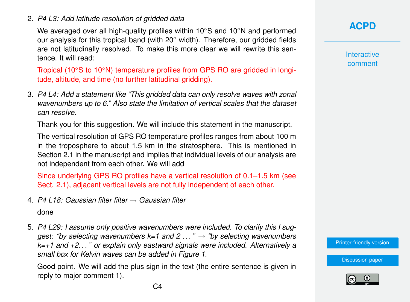#### 2. *P4 L3: Add latitude resolution of gridded data*

We averaged over all high-quality profiles within 10◦S and 10◦N and performed our analysis for this tropical band (with  $20°$  width). Therefore, our gridded fields are not latitudinally resolved. To make this more clear we will rewrite this sentence. It will read:

Tropical (10◦S to 10◦N) temperature profiles from GPS RO are gridded in longitude, altitude, and time (no further latitudinal gridding).

3. *P4 L4: Add a statement like "This gridded data can only resolve waves with zonal wavenumbers up to 6." Also state the limitation of vertical scales that the dataset can resolve.*

Thank you for this suggestion. We will include this statement in the manuscript.

The vertical resolution of GPS RO temperature profiles ranges from about 100 m in the troposphere to about 1.5 km in the stratosphere. This is mentioned in Section 2.1 in the manuscript and implies that individual levels of our analysis are not independent from each other. We will add

Since underlying GPS RO profiles have a vertical resolution of 0.1–1.5 km (see Sect. 2.1), adjacent vertical levels are not fully independent of each other.

4. *P4 L18: Gaussian filter filter* → *Gaussian filter*

done

5. *P4 L29: I assume only positive wavenumbers were included. To clarify this I suggest: "by selecting wavenumbers k=1 and 2 . . . "* → *"by selecting wavenumbers k=+1 and +2. . . " or explain only eastward signals were included. Alternatively a small box for Kelvin waves can be added in Figure 1.*

Good point. We will add the plus sign in the text (the entire sentence is given in reply to major comment 1).

**[ACPD](http://www.atmos-chem-phys-discuss.net/)**

**Interactive** comment

[Printer-friendly version](http://www.atmos-chem-phys-discuss.net/acp-2016-576/acp-2016-576-AC1-print.pdf)

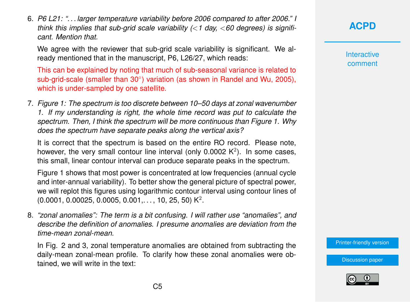6. *P6 L21: ". . . larger temperature variability before 2006 compared to after 2006." I think this implies that sub-grid scale variability (*<*1 day,* <*60 degrees) is significant. Mention that.*

We agree with the reviewer that sub-grid scale variability is significant. We already mentioned that in the manuscript, P6, L26/27, which reads:

This can be explained by noting that much of sub-seasonal variance is related to sub-grid-scale (smaller than 30°) variation (as shown in Randel and Wu, 2005), which is under-sampled by one satellite.

7. *Figure 1: The spectrum is too discrete between 10–50 days at zonal wavenumber 1. If my understanding is right, the whole time record was put to calculate the spectrum. Then, I think the spectrum will be more continuous than Figure 1. Why does the spectrum have separate peaks along the vertical axis?*

It is correct that the spectrum is based on the entire RO record. Please note, however, the very small contour line interval (only 0.0002  $K^2$ ). In some cases, this small, linear contour interval can produce separate peaks in the spectrum.

Figure 1 shows that most power is concentrated at low frequencies (annual cycle and inter-annual variability). To better show the general picture of spectral power, we will replot this figures using logarithmic contour interval using contour lines of  $(0.0001, 0.00025, 0.0005, 0.001,..., 10, 25, 50) K<sup>2</sup>$ .

8. *"zonal anomalies": The term is a bit confusing. I will rather use "anomalies", and describe the definition of anomalies. I presume anomalies are deviation from the time-mean zonal-mean.*

In Fig. 2 and 3, zonal temperature anomalies are obtained from subtracting the daily-mean zonal-mean profile. To clarify how these zonal anomalies were obtained, we will write in the text:

# **[ACPD](http://www.atmos-chem-phys-discuss.net/)**

**Interactive** comment

[Printer-friendly version](http://www.atmos-chem-phys-discuss.net/acp-2016-576/acp-2016-576-AC1-print.pdf)

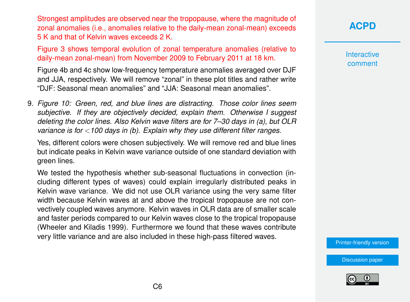Strongest amplitudes are observed near the tropopause, where the magnitude of zonal anomalies (i.e., anomalies relative to the daily-mean zonal-mean) exceeds 5 K and that of Kelvin waves exceeds 2 K.

Figure 3 shows temporal evolution of zonal temperature anomalies (relative to daily-mean zonal-mean) from November 2009 to February 2011 at 18 km.

Figure 4b and 4c show low-frequency temperature anomalies averaged over DJF and JJA, respectively. We will remove "zonal" in these plot titles and rather write "DJF: Seasonal mean anomalies" and "JJA: Seasonal mean anomalies".

9. *Figure 10: Green, red, and blue lines are distracting. Those color lines seem subjective. If they are objectively decided, explain them. Otherwise I suggest deleting the color lines. Also Kelvin wave filters are for 7–30 days in (a), but OLR variance is for* <*100 days in (b). Explain why they use different filter ranges.*

Yes, different colors were chosen subjectively. We will remove red and blue lines but indicate peaks in Kelvin wave variance outside of one standard deviation with green lines.

We tested the hypothesis whether sub-seasonal fluctuations in convection (including different types of waves) could explain irregularly distributed peaks in Kelvin wave variance. We did not use OLR variance using the very same filter width because Kelvin waves at and above the tropical tropopause are not convectively coupled waves anymore. Kelvin waves in OLR data are of smaller scale and faster periods compared to our Kelvin waves close to the tropical tropopause (Wheeler and Kiladis 1999). Furthermore we found that these waves contribute very little variance and are also included in these high-pass filtered waves.

# **[ACPD](http://www.atmos-chem-phys-discuss.net/)**

**Interactive** comment

[Printer-friendly version](http://www.atmos-chem-phys-discuss.net/acp-2016-576/acp-2016-576-AC1-print.pdf)